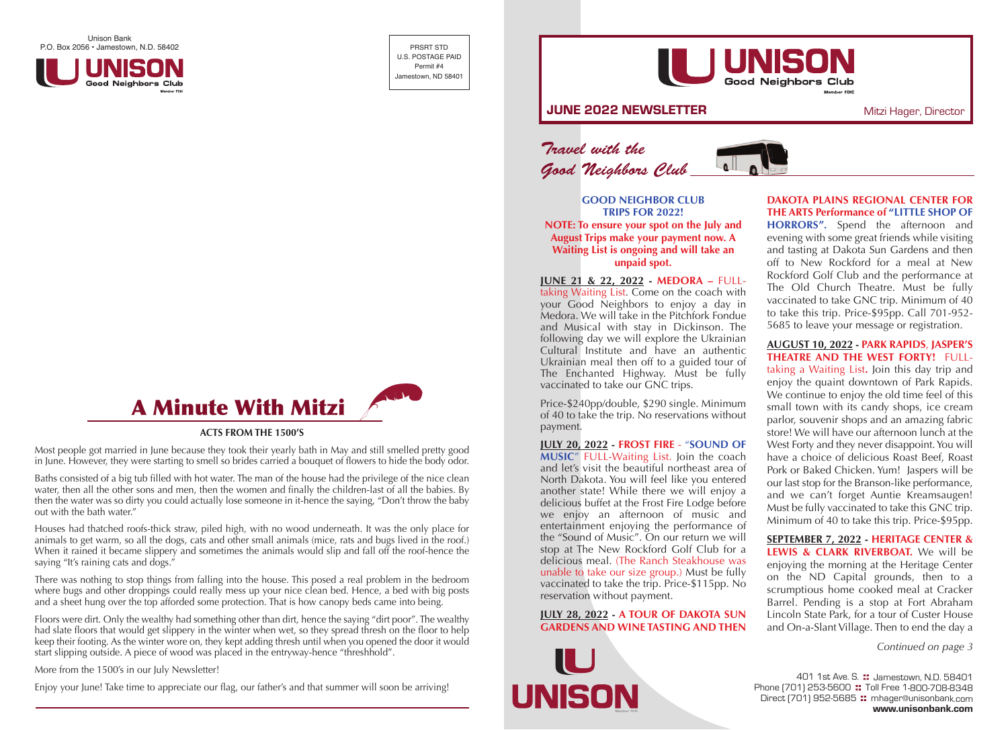Unison Bank P.O. Box 2056 • Jamestown, N.D. 58402 PRSRT STD



U.S. POSTAGE PAID Permit #4 Jamestown, ND 58401



**ACTS FROM THE 1500'S**

Most people got married in June because they took their yearly bath in May and still smelled pretty good in June. However, they were starting to smell so brides carried a bouquet of flowers to hide the body odor.

Baths consisted of a big tub filled with hot water. The man of the house had the privilege of the nice clean water, then all the other sons and men, then the women and finally the children-last of all the babies. By then the water was so dirty you could actually lose someone in it-hence the saying, "Don't throw the baby out with the bath water."

Houses had thatched roofs-thick straw, piled high, with no wood underneath. It was the only place for animals to get warm, so all the dogs, cats and other small animals (mice, rats and bugs lived in the roof.) When it rained it became slippery and sometimes the animals would slip and fall off the roof-hence the saying "It's raining cats and dogs."

There was nothing to stop things from falling into the house. This posed a real problem in the bedroom where bugs and other droppings could really mess up your nice clean bed. Hence, a bed with big posts and a sheet hung over the top afforded some protection. That is how canopy beds came into being.

Floors were dirt. Only the wealthy had something other than dirt, hence the saying "dirt poor". The wealthy had slate floors that would get slippery in the winter when wet, so they spread thresh on the floor to help keep their footing. As the winter wore on, they kept adding thresh until when you opened the door it would start slipping outside. A piece of wood was placed in the entryway-hence "threshhold".

More from the 1500's in our July Newsletter!

Enjoy your June! Take time to appreciate our flag, our father's and that summer will soon be arriving!



## **JUNE 2022 NEWSLETTER** Mitzi Hager, Director

# *Travel with the Good Neighbors Club*



**GOOD NEIGHBOR CLUB TRIPS FOR 2022! NOTE: To ensure your spot on the July and August Trips make your payment now. A Waiting List is ongoing and will take an unpaid spot.**

**JUNE 21 & 22, 2022 - MEDORA –** FULLtaking Waiting List. Come on the coach with your Good Neighbors to enjoy a day in Medora. We will take in the Pitchfork Fondue and Musical with stay in Dickinson. The following day we will explore the Ukrainian Cultural Institute and have an authentic Ukrainian meal then off to a guided tour of The Enchanted Highway. Must be fully vaccinated to take our GNC trips.

Price-\$240pp/double, \$290 single. Minimum of 40 to take the trip. No reservations without payment.

**JULY 20, 2022 - FROST FIRE** - "**SOUND OF MUSIC**" FULL-Waiting List. Join the coach and let's visit the beautiful northeast area of North Dakota. You will feel like you entered another state! While there we will enjoy a delicious buffet at the Frost Fire Lodge before we enjoy an afternoon of music and entertainment enjoying the performance of the "Sound of Music". On our return we will stop at The New Rockford Golf Club for a delicious meal. (The Ranch Steakhouse was unable to take our size group.) Must be fully vaccinated to take the trip. Price-\$115pp. No reservation without payment.

## **JULY 28, 2022 - A TOUR OF DAKOTA SUN GARDENS AND WINE TASTING AND THEN**



**DAKOTA PLAINS REGIONAL CENTER FOR THE ARTS Performance of "LITTLE SHOP OF HORRORS".** Spend the afternoon and evening with some great friends while visiting and tasting at Dakota Sun Gardens and then off to New Rockford for a meal at New Rockford Golf Club and the performance at The Old Church Theatre. Must be fully vaccinated to take GNC trip. Minimum of 40 to take this trip. Price-\$95pp. Call 701-952- 5685 to leave your message or registration.

## **AUGUST 10, 2022 - PARK RAPIDS**, **JASPER'S**

**THEATRE AND THE WEST FORTY!** FULLtaking a Waiting List**.** Join this day trip and enjoy the quaint downtown of Park Rapids. We continue to enjoy the old time feel of this small town with its candy shops, ice cream parlor, souvenir shops and an amazing fabric store! We will have our afternoon lunch at the West Forty and they never disappoint. You will have a choice of delicious Roast Beef, Roast Pork or Baked Chicken. Yum! Jaspers will be our last stop for the Branson-like performance, and we can't forget Auntie Kreamsaugen! Must be fully vaccinated to take this GNC trip. Minimum of 40 to take this trip. Price-\$95pp.

**SEPTEMBER 7, 2022 - HERITAGE CENTER & LEWIS & CLARK RIVERBOAT.** We will be enjoying the morning at the Heritage Center on the ND Capital grounds, then to a scrumptious home cooked meal at Cracker Barrel. Pending is a stop at Fort Abraham Lincoln State Park, for a tour of Custer House and On-a-Slant Village. Then to end the day a

*Continued on page 3*

401 1st Ave. S. :: Jamestown, N.D. 58401 Phone (701) 253-5600 :: Toll Free 1-800-708-8348 Direct (701) 952-5685 :: mhager@unisonbank.com www.unisonbank.com